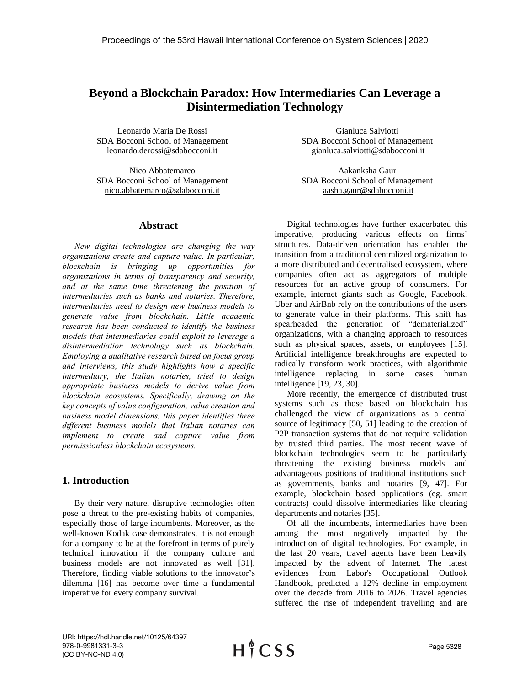# **Beyond a Blockchain Paradox: How Intermediaries Can Leverage a Disintermediation Technology**

Leonardo Maria De Rossi SDA Bocconi School of Management leonardo.derossi@sdabocconi.it

Nico Abbatemarco SDA Bocconi School of Management [nico.abbatemarco@sdabocconi.it](mailto:emailaddress@xxx.xxx)

## **Abstract**

*New digital technologies are changing the way organizations create and capture value. In particular, blockchain is bringing up opportunities for organizations in terms of transparency and security, and at the same time threatening the position of intermediaries such as banks and notaries. Therefore, intermediaries need to design new business models to generate value from blockchain. Little academic research has been conducted to identify the business models that intermediaries could exploit to leverage a disintermediation technology such as blockchain. Employing a qualitative research based on focus group and interviews, this study highlights how a specific intermediary, the Italian notaries, tried to design appropriate business models to derive value from blockchain ecosystems. Specifically, drawing on the key concepts of value configuration, value creation and business model dimensions, this paper identifies three different business models that Italian notaries can implement to create and capture value from permissionless blockchain ecosystems.* 

# **1. Introduction**

By their very nature, disruptive technologies often pose a threat to the pre-existing habits of companies, especially those of large incumbents. Moreover, as the well-known Kodak case demonstrates, it is not enough for a company to be at the forefront in terms of purely technical innovation if the company culture and business models are not innovated as well [31]. Therefore, finding viable solutions to the innovator's dilemma [16] has become over time a fundamental imperative for every company survival.

Gianluca Salviotti SDA Bocconi School of Management gianluca.salviotti@sdabocconi.it

Aakanksha Gaur SDA Bocconi School of Management aasha.gaur@sdabocconi.it

Digital technologies have further exacerbated this imperative, producing various effects on firms' structures. Data-driven orientation has enabled the transition from a traditional centralized organization to a more distributed and decentralised ecosystem, where companies often act as aggregators of multiple resources for an active group of consumers. For example, internet giants such as Google, Facebook, Uber and AirBnb rely on the contributions of the users to generate value in their platforms. This shift has spearheaded the generation of "dematerialized" organizations, with a changing approach to resources such as physical spaces, assets, or employees [15]. Artificial intelligence breakthroughs are expected to radically transform work practices, with algorithmic intelligence replacing in some cases human intelligence [19, 23, 30].

More recently, the emergence of distributed trust systems such as those based on blockchain has challenged the view of organizations as a central source of legitimacy [50, 51] leading to the creation of P2P transaction systems that do not require validation by trusted third parties. The most recent wave of blockchain technologies seem to be particularly threatening the existing business models and advantageous positions of traditional institutions such as governments, banks and notaries [9, 47]. For example, blockchain based applications (eg. smart contracts) could dissolve intermediaries like clearing departments and notaries [35].

Of all the incumbents, intermediaries have been among the most negatively impacted by the introduction of digital technologies. For example, in the last 20 years, travel agents have been heavily impacted by the advent of Internet. The latest evidences from Labor's Occupational Outlook Handbook, predicted a 12% decline in employment over the decade from 2016 to 2026. Travel agencies suffered the rise of independent travelling and are

URI: https://hdl.handle.net/10125/64397 978-0-9981331-3-3 (CC BY-NC-ND 4.0)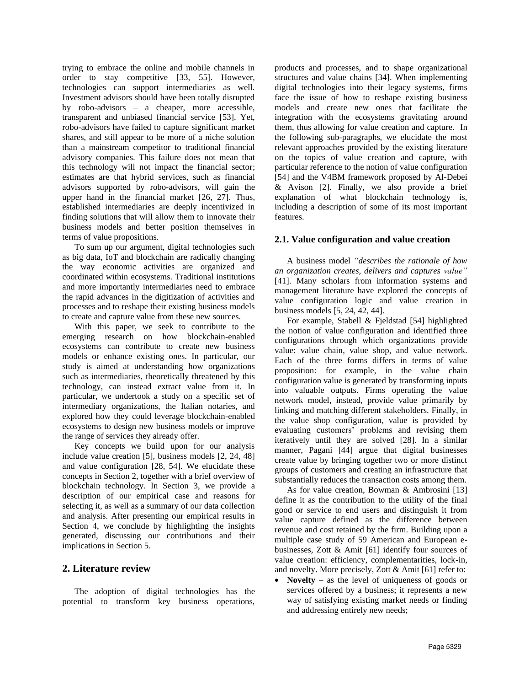trying to embrace the online and mobile channels in order to stay competitive [33, 55]. However, technologies can support intermediaries as well. Investment advisors should have been totally disrupted by robo-advisors – a cheaper, more accessible, transparent and unbiased financial service [53]. Yet, robo-advisors have failed to capture significant market shares, and still appear to be more of a niche solution than a mainstream competitor to traditional financial advisory companies. This failure does not mean that this technology will not impact the financial sector; estimates are that hybrid services, such as financial advisors supported by robo-advisors, will gain the upper hand in the financial market [26, 27]. Thus, established intermediaries are deeply incentivized in finding solutions that will allow them to innovate their business models and better position themselves in terms of value propositions.

To sum up our argument, digital technologies such as big data, IoT and blockchain are radically changing the way economic activities are organized and coordinated within ecosystems. Traditional institutions and more importantly intermediaries need to embrace the rapid advances in the digitization of activities and processes and to reshape their existing business models to create and capture value from these new sources.

With this paper, we seek to contribute to the emerging research on how blockchain-enabled ecosystems can contribute to create new business models or enhance existing ones. In particular, our study is aimed at understanding how organizations such as intermediaries, theoretically threatened by this technology, can instead extract value from it. In particular, we undertook a study on a specific set of intermediary organizations, the Italian notaries, and explored how they could leverage blockchain-enabled ecosystems to design new business models or improve the range of services they already offer.

Key concepts we build upon for our analysis include value creation [5], business models [2, 24, 48] and value configuration [28, 54]. We elucidate these concepts in Section 2, together with a brief overview of blockchain technology. In Section 3, we provide a description of our empirical case and reasons for selecting it, as well as a summary of our data collection and analysis. After presenting our empirical results in Section 4, we conclude by highlighting the insights generated, discussing our contributions and their implications in Section 5.

## **2. Literature review**

The adoption of digital technologies has the potential to transform key business operations,

products and processes, and to shape organizational structures and value chains [34]. When implementing digital technologies into their legacy systems, firms face the issue of how to reshape existing business models and create new ones that facilitate the integration with the ecosystems gravitating around them, thus allowing for value creation and capture. In the following sub-paragraphs, we elucidate the most relevant approaches provided by the existing literature on the topics of value creation and capture, with particular reference to the notion of value configuration [54] and the V4BM framework proposed by Al-Debei & Avison [2]. Finally, we also provide a brief explanation of what blockchain technology is, including a description of some of its most important features.

#### **2.1. Value configuration and value creation**

A business model *"describes the rationale of how an organization creates, delivers and captures value"* [41]. Many scholars from information systems and management literature have explored the concepts of value configuration logic and value creation in business models [5, 24, 42, 44].

For example, Stabell & Fjeldstad [54] highlighted the notion of value configuration and identified three configurations through which organizations provide value: value chain, value shop, and value network. Each of the three forms differs in terms of value proposition: for example, in the value chain configuration value is generated by transforming inputs into valuable outputs. Firms operating the value network model, instead, provide value primarily by linking and matching different stakeholders. Finally, in the value shop configuration, value is provided by evaluating customers' problems and revising them iteratively until they are solved [28]. In a similar manner, Pagani [44] argue that digital businesses create value by bringing together two or more distinct groups of customers and creating an infrastructure that substantially reduces the transaction costs among them.

As for value creation, Bowman & Ambrosini [13] define it as the contribution to the utility of the final good or service to end users and distinguish it from value capture defined as the difference between revenue and cost retained by the firm. Building upon a multiple case study of 59 American and European ebusinesses, Zott & Amit [61] identify four sources of value creation: efficiency, complementarities, lock-in, and novelty. More precisely, Zott & Amit [61] refer to:

**Novelty** – as the level of uniqueness of goods or services offered by a business; it represents a new way of satisfying existing market needs or finding and addressing entirely new needs;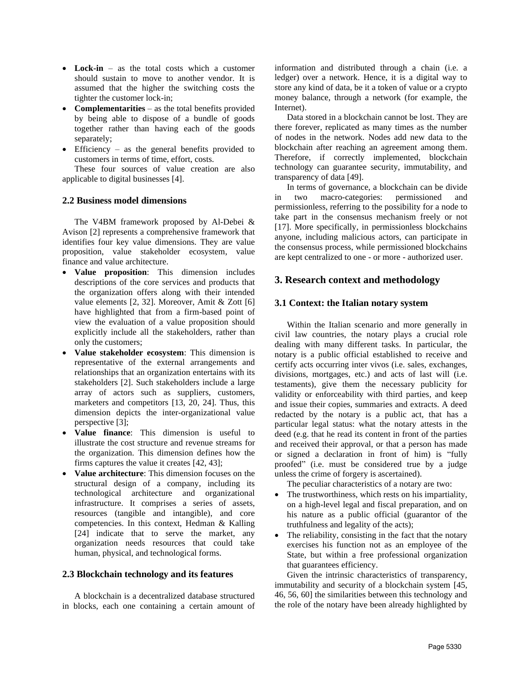- **Lock-in** as the total costs which a customer should sustain to move to another vendor. It is assumed that the higher the switching costs the tighter the customer lock-in;
- **Complementarities** as the total benefits provided by being able to dispose of a bundle of goods together rather than having each of the goods separately;
- Efficiency as the general benefits provided to customers in terms of time, effort, costs.

These four sources of value creation are also applicable to digital businesses [4].

### **2.2 Business model dimensions**

The V4BM framework proposed by Al-Debei & Avison [2] represents a comprehensive framework that identifies four key value dimensions. They are value proposition, value stakeholder ecosystem, value finance and value architecture.

- **Value proposition**: This dimension includes descriptions of the core services and products that the organization offers along with their intended value elements [2, 32]. Moreover, Amit & Zott [6] have highlighted that from a firm-based point of view the evaluation of a value proposition should explicitly include all the stakeholders, rather than only the customers;
- **Value stakeholder ecosystem**: This dimension is representative of the external arrangements and relationships that an organization entertains with its stakeholders [2]. Such stakeholders include a large array of actors such as suppliers, customers, marketers and competitors [13, 20, 24]. Thus, this dimension depicts the inter-organizational value perspective [3];
- **Value finance**: This dimension is useful to illustrate the cost structure and revenue streams for the organization. This dimension defines how the firms captures the value it creates [42, 43];
- **Value architecture**: This dimension focuses on the structural design of a company, including its technological architecture and organizational infrastructure. It comprises a series of assets, resources (tangible and intangible), and core competencies. In this context, Hedman & Kalling [24] indicate that to serve the market, any organization needs resources that could take human, physical, and technological forms.

#### **2.3 Blockchain technology and its features**

A blockchain is a decentralized database structured in blocks, each one containing a certain amount of information and distributed through a chain (i.e. a ledger) over a network. Hence, it is a digital way to store any kind of data, be it a token of value or a crypto money balance, through a network (for example, the Internet).

Data stored in a blockchain cannot be lost. They are there forever, replicated as many times as the number of nodes in the network. Nodes add new data to the blockchain after reaching an agreement among them. Therefore, if correctly implemented, blockchain technology can guarantee security, immutability, and transparency of data [49].

In terms of governance, a blockchain can be divide in two macro-categories: permissioned and permissionless, referring to the possibility for a node to take part in the consensus mechanism freely or not [17]. More specifically, in permissionless blockchains anyone, including malicious actors, can participate in the consensus process, while permissioned blockchains are kept centralized to one - or more - authorized user.

# **3. Research context and methodology**

### **3.1 Context: the Italian notary system**

Within the Italian scenario and more generally in civil law countries, the notary plays a crucial role dealing with many different tasks. In particular, the notary is a public official established to receive and certify acts occurring inter vivos (i.e. sales, exchanges, divisions, mortgages, etc.) and acts of last will (i.e. testaments), give them the necessary publicity for validity or enforceability with third parties, and keep and issue their copies, summaries and extracts. A deed redacted by the notary is a public act, that has a particular legal status: what the notary attests in the deed (e.g. that he read its content in front of the parties and received their approval, or that a person has made or signed a declaration in front of him) is "fully proofed" (i.e. must be considered true by a judge unless the crime of forgery is ascertained).

The peculiar characteristics of a notary are two:

- The trustworthiness, which rests on his impartiality, on a high-level legal and fiscal preparation, and on his nature as a public official (guarantor of the truthfulness and legality of the acts);
- The reliability, consisting in the fact that the notary exercises his function not as an employee of the State, but within a free professional organization that guarantees efficiency.

Given the intrinsic characteristics of transparency, immutability and security of a blockchain system [45, 46, 56, 60] the similarities between this technology and the role of the notary have been already highlighted by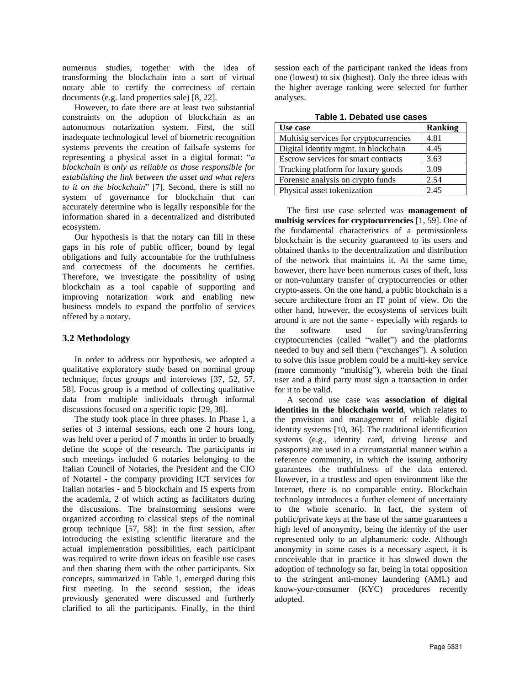numerous studies, together with the idea of transforming the blockchain into a sort of virtual notary able to certify the correctness of certain documents (e.g. land properties sale) [8, 22].

However, to date there are at least two substantial constraints on the adoption of blockchain as an autonomous notarization system. First, the still inadequate technological level of biometric recognition systems prevents the creation of failsafe systems for representing a physical asset in a digital format: "*a blockchain is only as reliable as those responsible for establishing the link between the asset and what refers to it on the blockchain*" [7]. Second, there is still no system of governance for blockchain that can accurately determine who is legally responsible for the information shared in a decentralized and distributed ecosystem.

Our hypothesis is that the notary can fill in these gaps in his role of public officer, bound by legal obligations and fully accountable for the truthfulness and correctness of the documents he certifies. Therefore, we investigate the possibility of using blockchain as a tool capable of supporting and improving notarization work and enabling new business models to expand the portfolio of services offered by a notary.

## **3.2 Methodology**

In order to address our hypothesis, we adopted a qualitative exploratory study based on nominal group technique, focus groups and interviews [37, 52, 57, 58]. Focus group is a method of collecting qualitative data from multiple individuals through informal discussions focused on a specific topic [29, 38].

The study took place in three phases. In Phase 1, a series of 3 internal sessions, each one 2 hours long, was held over a period of 7 months in order to broadly define the scope of the research. The participants in such meetings included 6 notaries belonging to the Italian Council of Notaries, the President and the CIO of Notartel - the company providing ICT services for Italian notaries - and 5 blockchain and IS experts from the academia, 2 of which acting as facilitators during the discussions. The brainstorming sessions were organized according to classical steps of the nominal group technique [57, 58]: in the first session, after introducing the existing scientific literature and the actual implementation possibilities, each participant was required to write down ideas on feasible use cases and then sharing them with the other participants. Six concepts, summarized in Table 1, emerged during this first meeting. In the second session, the ideas previously generated were discussed and furtherly clarified to all the participants. Finally, in the third session each of the participant ranked the ideas from one (lowest) to six (highest). Only the three ideas with the higher average ranking were selected for further analyses.

|  | Table 1. Debated use cases |  |  |
|--|----------------------------|--|--|
|  |                            |  |  |

| Use case                               | <b>Ranking</b> |
|----------------------------------------|----------------|
| Multisig services for cryptocurrencies | 4.81           |
| Digital identity mgmt. in blockchain   | 4.45           |
| Escrow services for smart contracts    | 3.63           |
| Tracking platform for luxury goods     | 3.09           |
| Forensic analysis on crypto funds      | 2.54           |
| Physical asset tokenization            | 2.45           |

The first use case selected was **management of multisig services for cryptocurrencies** [1, 59]. One of the fundamental characteristics of a permissionless blockchain is the security guaranteed to its users and obtained thanks to the decentralization and distribution of the network that maintains it. At the same time, however, there have been numerous cases of theft, loss or non-voluntary transfer of cryptocurrencies or other crypto-assets. On the one hand, a public blockchain is a secure architecture from an IT point of view. On the other hand, however, the ecosystems of services built around it are not the same - especially with regards to the software used for saving/transferring cryptocurrencies (called "wallet") and the platforms needed to buy and sell them ("exchanges"). A solution to solve this issue problem could be a multi-key service (more commonly "multisig"), wherein both the final user and a third party must sign a transaction in order for it to be valid.

A second use case was **association of digital identities in the blockchain world**, which relates to the provision and management of reliable digital identity systems [10, 36]. The traditional identification systems (e.g., identity card, driving license and passports) are used in a circumstantial manner within a reference community, in which the issuing authority guarantees the truthfulness of the data entered. However, in a trustless and open environment like the Internet, there is no comparable entity. Blockchain technology introduces a further element of uncertainty to the whole scenario. In fact, the system of public/private keys at the base of the same guarantees a high level of anonymity, being the identity of the user represented only to an alphanumeric code. Although anonymity in some cases is a necessary aspect, it is conceivable that in practice it has slowed down the adoption of technology so far, being in total opposition to the stringent anti-money laundering (AML) and know-your-consumer (KYC) procedures recently adopted.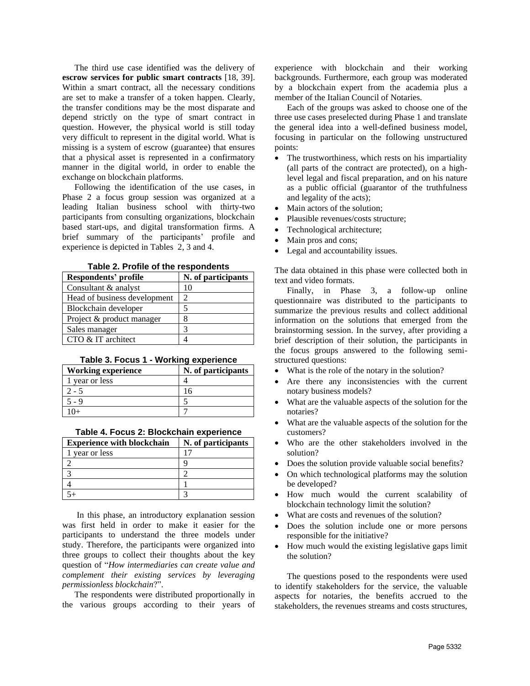The third use case identified was the delivery of **escrow services for public smart contracts** [18, 39]. Within a smart contract, all the necessary conditions are set to make a transfer of a token happen. Clearly, the transfer conditions may be the most disparate and depend strictly on the type of smart contract in question. However, the physical world is still today very difficult to represent in the digital world. What is missing is a system of escrow (guarantee) that ensures that a physical asset is represented in a confirmatory manner in the digital world, in order to enable the exchange on blockchain platforms.

Following the identification of the use cases, in Phase 2 a focus group session was organized at a leading Italian business school with thirty-two participants from consulting organizations, blockchain based start-ups, and digital transformation firms. A brief summary of the participants' profile and experience is depicted in Tables 2, 3 and 4.

| Table 2. Profile of the respondents |  |  |  |  |
|-------------------------------------|--|--|--|--|
|-------------------------------------|--|--|--|--|

| Respondents' profile         | N. of participants |
|------------------------------|--------------------|
| Consultant & analyst         | 10                 |
| Head of business development | 2                  |
| Blockchain developer         |                    |
| Project & product manager    |                    |
| Sales manager                | 3                  |
| CTO & IT architect           |                    |

### **Table 3. Focus 1 - Working experience**

| Working experience | N. of participants |
|--------------------|--------------------|
| 1 year or less     |                    |
| $2 - 5$            |                    |
|                    |                    |
|                    |                    |

| Table 4. Focus 2: Blockchain experience |  |
|-----------------------------------------|--|
|-----------------------------------------|--|

| <b>Experience with blockchain</b> | N. of participants |
|-----------------------------------|--------------------|
| vear or less                      |                    |
|                                   |                    |
|                                   |                    |
|                                   |                    |
|                                   |                    |

In this phase, an introductory explanation session was first held in order to make it easier for the participants to understand the three models under study. Therefore, the participants were organized into three groups to collect their thoughts about the key question of "*How intermediaries can create value and complement their existing services by leveraging permissionless blockchain*?".

The respondents were distributed proportionally in the various groups according to their years of experience with blockchain and their working backgrounds. Furthermore, each group was moderated by a blockchain expert from the academia plus a member of the Italian Council of Notaries.

Each of the groups was asked to choose one of the three use cases preselected during Phase 1 and translate the general idea into a well-defined business model, focusing in particular on the following unstructured points:

- The trustworthiness, which rests on his impartiality (all parts of the contract are protected), on a highlevel legal and fiscal preparation, and on his nature as a public official (guarantor of the truthfulness and legality of the acts);
- Main actors of the solution;
- Plausible revenues/costs structure;
- Technological architecture;
- Main pros and cons;
- Legal and accountability issues.

The data obtained in this phase were collected both in text and video formats.

Finally, in Phase 3, a follow-up online questionnaire was distributed to the participants to summarize the previous results and collect additional information on the solutions that emerged from the brainstorming session. In the survey, after providing a brief description of their solution, the participants in the focus groups answered to the following semistructured questions:

- What is the role of the notary in the solution?
- Are there any inconsistencies with the current notary business models?
- What are the valuable aspects of the solution for the notaries?
- What are the valuable aspects of the solution for the customers?
- Who are the other stakeholders involved in the solution?
- Does the solution provide valuable social benefits?
- On which technological platforms may the solution be developed?
- How much would the current scalability of blockchain technology limit the solution?
- What are costs and revenues of the solution?
- Does the solution include one or more persons responsible for the initiative?
- How much would the existing legislative gaps limit the solution?

The questions posed to the respondents were used to identify stakeholders for the service, the valuable aspects for notaries, the benefits accrued to the stakeholders, the revenues streams and costs structures,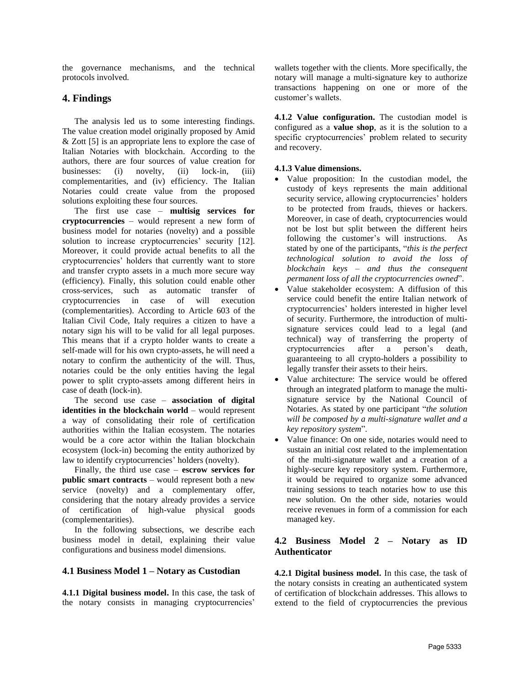the governance mechanisms, and the technical protocols involved.

# **4. Findings**

The analysis led us to some interesting findings. The value creation model originally proposed by Amid & Zott [5] is an appropriate lens to explore the case of Italian Notaries with blockchain. According to the authors, there are four sources of value creation for businesses: (i) novelty, (ii) lock-in, (iii) complementarities, and (iv) efficiency. The Italian Notaries could create value from the proposed solutions exploiting these four sources.

The first use case – **multisig services for cryptocurrencies** – would represent a new form of business model for notaries (novelty) and a possible solution to increase cryptocurrencies' security [12]. Moreover, it could provide actual benefits to all the cryptocurrencies' holders that currently want to store and transfer crypto assets in a much more secure way (efficiency). Finally, this solution could enable other cross-services, such as automatic transfer of cryptocurrencies in case of will execution (complementarities). According to Article 603 of the Italian Civil Code, Italy requires a citizen to have a notary sign his will to be valid for all legal purposes. This means that if a crypto holder wants to create a self-made will for his own crypto-assets, he will need a notary to confirm the authenticity of the will. Thus, notaries could be the only entities having the legal power to split crypto-assets among different heirs in case of death (lock-in).

The second use case – **association of digital identities in the blockchain world** – would represent a way of consolidating their role of certification authorities within the Italian ecosystem. The notaries would be a core actor within the Italian blockchain ecosystem (lock-in) becoming the entity authorized by law to identify cryptocurrencies' holders (novelty).

Finally, the third use case – **escrow services for public smart contracts** – would represent both a new service (novelty) and a complementary offer, considering that the notary already provides a service of certification of high-value physical goods (complementarities).

In the following subsections, we describe each business model in detail, explaining their value configurations and business model dimensions.

## **4.1 Business Model 1 – Notary as Custodian**

**4.1.1 Digital business model.** In this case, the task of the notary consists in managing cryptocurrencies'

wallets together with the clients. More specifically, the notary will manage a multi-signature key to authorize transactions happening on one or more of the customer's wallets.

**4.1.2 Value configuration.** The custodian model is configured as a **value shop**, as it is the solution to a specific cryptocurrencies' problem related to security and recovery.

### **4.1.3 Value dimensions.**

- Value proposition: In the custodian model, the custody of keys represents the main additional security service, allowing cryptocurrencies' holders to be protected from frauds, thieves or hackers. Moreover, in case of death, cryptocurrencies would not be lost but split between the different heirs following the customer's will instructions. As stated by one of the participants, "*this is the perfect technological solution to avoid the loss of blockchain keys – and thus the consequent permanent loss of all the cryptocurrencies owned*".
- Value stakeholder ecosystem: A diffusion of this service could benefit the entire Italian network of cryptocurrencies' holders interested in higher level of security. Furthermore, the introduction of multisignature services could lead to a legal (and technical) way of transferring the property of cryptocurrencies after a person's death, guaranteeing to all crypto-holders a possibility to legally transfer their assets to their heirs.
- Value architecture: The service would be offered through an integrated platform to manage the multisignature service by the National Council of Notaries. As stated by one participant "*the solution will be composed by a multi-signature wallet and a key repository system*".
- Value finance: On one side, notaries would need to sustain an initial cost related to the implementation of the multi-signature wallet and a creation of a highly-secure key repository system. Furthermore, it would be required to organize some advanced training sessions to teach notaries how to use this new solution. On the other side, notaries would receive revenues in form of a commission for each managed key.

# **4.2 Business Model 2 – Notary as ID Authenticator**

**4.2.1 Digital business model.** In this case, the task of the notary consists in creating an authenticated system of certification of blockchain addresses. This allows to extend to the field of cryptocurrencies the previous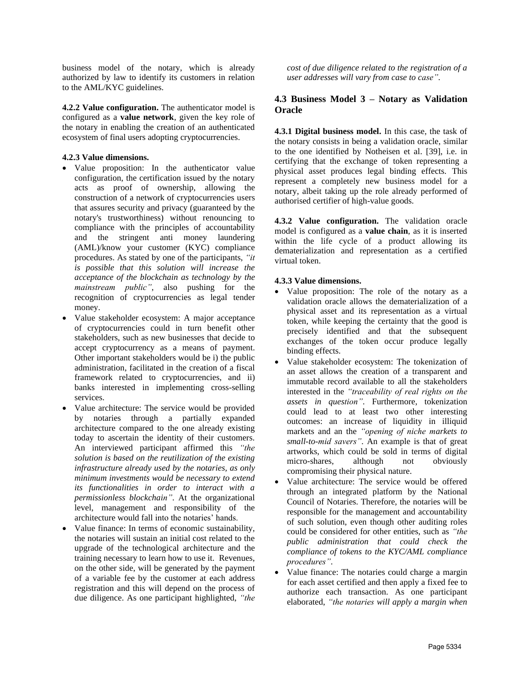business model of the notary, which is already authorized by law to identify its customers in relation to the AML/KYC guidelines.

**4.2.2 Value configuration.** The authenticator model is configured as a **value network**, given the key role of the notary in enabling the creation of an authenticated ecosystem of final users adopting cryptocurrencies.

### **4.2.3 Value dimensions.**

- Value proposition: In the authenticator value configuration, the certification issued by the notary acts as proof of ownership, allowing the construction of a network of cryptocurrencies users that assures security and privacy (guaranteed by the notary's trustworthiness) without renouncing to compliance with the principles of accountability and the stringent anti money laundering (AML)/know your customer (KYC) compliance procedures. As stated by one of the participants, *"it is possible that this solution will increase the acceptance of the blockchain as technology by the mainstream public"*, also pushing for the recognition of cryptocurrencies as legal tender money.
- Value stakeholder ecosystem: A major acceptance of cryptocurrencies could in turn benefit other stakeholders, such as new businesses that decide to accept cryptocurrency as a means of payment. Other important stakeholders would be i) the public administration, facilitated in the creation of a fiscal framework related to cryptocurrencies, and ii) banks interested in implementing cross-selling services.
- Value architecture: The service would be provided by notaries through a partially expanded architecture compared to the one already existing today to ascertain the identity of their customers. An interviewed participant affirmed this *"the solution is based on the reutilization of the existing infrastructure already used by the notaries, as only minimum investments would be necessary to extend its functionalities in order to interact with a permissionless blockchain"*. At the organizational level, management and responsibility of the architecture would fall into the notaries' hands.
- Value finance: In terms of economic sustainability, the notaries will sustain an initial cost related to the upgrade of the technological architecture and the training necessary to learn how to use it. Revenues, on the other side, will be generated by the payment of a variable fee by the customer at each address registration and this will depend on the process of due diligence. As one participant highlighted, *"the*

*cost of due diligence related to the registration of a user addresses will vary from case to case"*.

# **4.3 Business Model 3 – Notary as Validation Oracle**

**4.3.1 Digital business model.** In this case, the task of the notary consists in being a validation oracle, similar to the one identified by Notheisen et al. [39], i.e. in certifying that the exchange of token representing a physical asset produces legal binding effects. This represent a completely new business model for a notary, albeit taking up the role already performed of authorised certifier of high-value goods.

**4.3.2 Value configuration.** The validation oracle model is configured as a **value chain**, as it is inserted within the life cycle of a product allowing its dematerialization and representation as a certified virtual token.

### **4.3.3 Value dimensions.**

- Value proposition: The role of the notary as a validation oracle allows the dematerialization of a physical asset and its representation as a virtual token, while keeping the certainty that the good is precisely identified and that the subsequent exchanges of the token occur produce legally binding effects.
- Value stakeholder ecosystem: The tokenization of an asset allows the creation of a transparent and immutable record available to all the stakeholders interested in the *"traceability of real rights on the assets in question"*. Furthermore, tokenization could lead to at least two other interesting outcomes: an increase of liquidity in illiquid markets and an the *"opening of niche markets to small-to-mid savers"*. An example is that of great artworks, which could be sold in terms of digital micro-shares, although not obviously compromising their physical nature.
- Value architecture: The service would be offered through an integrated platform by the National Council of Notaries. Therefore, the notaries will be responsible for the management and accountability of such solution, even though other auditing roles could be considered for other entities, such as *"the public administration that could check the compliance of tokens to the KYC/AML compliance procedures"*.
- Value finance: The notaries could charge a margin for each asset certified and then apply a fixed fee to authorize each transaction. As one participant elaborated, *"the notaries will apply a margin when*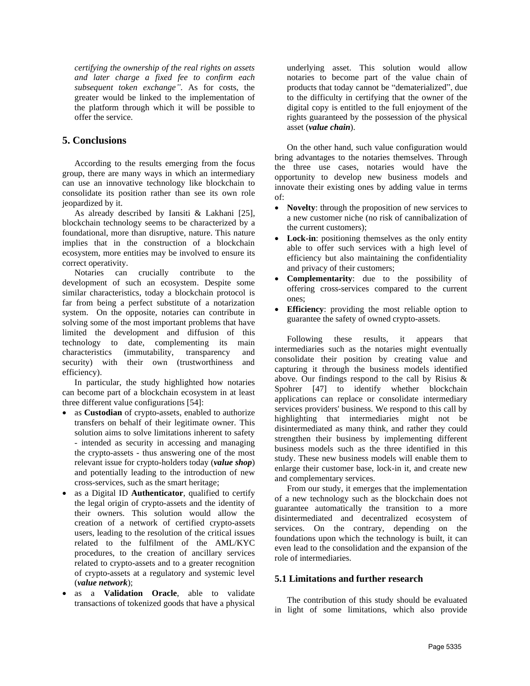*certifying the ownership of the real rights on assets and later charge a fixed fee to confirm each subsequent token exchange"*. As for costs, the greater would be linked to the implementation of the platform through which it will be possible to offer the service.

# **5. Conclusions**

According to the results emerging from the focus group, there are many ways in which an intermediary can use an innovative technology like blockchain to consolidate its position rather than see its own role jeopardized by it.

As already described by Iansiti & Lakhani [25], blockchain technology seems to be characterized by a foundational, more than disruptive, nature. This nature implies that in the construction of a blockchain ecosystem, more entities may be involved to ensure its correct operativity.

Notaries can crucially contribute to the development of such an ecosystem. Despite some similar characteristics, today a blockchain protocol is far from being a perfect substitute of a notarization system. On the opposite, notaries can contribute in solving some of the most important problems that have limited the development and diffusion of this technology to date, complementing its main characteristics (immutability, transparency and security) with their own (trustworthiness and efficiency).

In particular, the study highlighted how notaries can become part of a blockchain ecosystem in at least three different value configurations [54]:

- as **Custodian** of crypto-assets, enabled to authorize transfers on behalf of their legitimate owner. This solution aims to solve limitations inherent to safety - intended as security in accessing and managing the crypto-assets - thus answering one of the most relevant issue for crypto-holders today (*value shop*) and potentially leading to the introduction of new cross-services, such as the smart heritage;
- as a Digital ID **Authenticator**, qualified to certify the legal origin of crypto-assets and the identity of their owners. This solution would allow the creation of a network of certified crypto-assets users, leading to the resolution of the critical issues related to the fulfilment of the AML/KYC procedures, to the creation of ancillary services related to crypto-assets and to a greater recognition of crypto-assets at a regulatory and systemic level (*value network*);
- as a **Validation Oracle**, able to validate transactions of tokenized goods that have a physical

underlying asset. This solution would allow notaries to become part of the value chain of products that today cannot be "dematerialized", due to the difficulty in certifying that the owner of the digital copy is entitled to the full enjoyment of the rights guaranteed by the possession of the physical asset (*value chain*).

On the other hand, such value configuration would bring advantages to the notaries themselves. Through the three use cases, notaries would have the opportunity to develop new business models and innovate their existing ones by adding value in terms of:

- **Novelty**: through the proposition of new services to a new customer niche (no risk of cannibalization of the current customers);
- **Lock-in**: positioning themselves as the only entity able to offer such services with a high level of efficiency but also maintaining the confidentiality and privacy of their customers;
- **Complementarity**: due to the possibility of offering cross-services compared to the current ones;
- **Efficiency**: providing the most reliable option to guarantee the safety of owned crypto-assets.

Following these results, it appears that intermediaries such as the notaries might eventually consolidate their position by creating value and capturing it through the business models identified above. Our findings respond to the call by Risius & Spohrer [47] to identify whether blockchain applications can replace or consolidate intermediary services providers' business. We respond to this call by highlighting that intermediaries might not be disintermediated as many think, and rather they could strengthen their business by implementing different business models such as the three identified in this study. These new business models will enable them to enlarge their customer base, lock-in it, and create new and complementary services.

From our study, it emerges that the implementation of a new technology such as the blockchain does not guarantee automatically the transition to a more disintermediated and decentralized ecosystem of services. On the contrary, depending on the foundations upon which the technology is built, it can even lead to the consolidation and the expansion of the role of intermediaries.

## **5.1 Limitations and further research**

The contribution of this study should be evaluated in light of some limitations, which also provide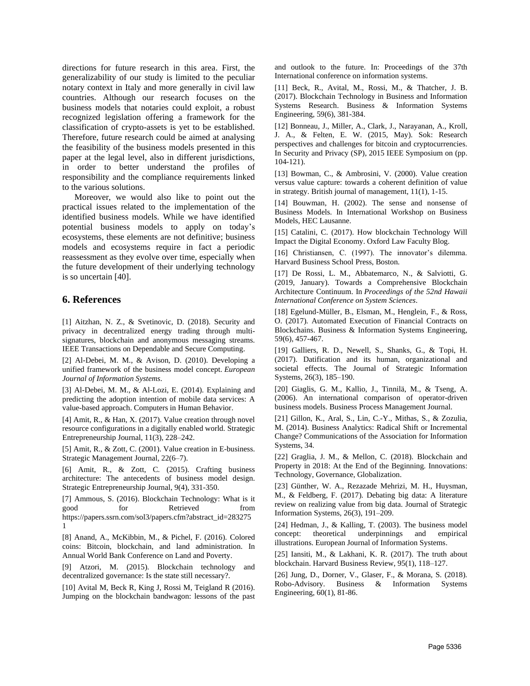directions for future research in this area. First, the generalizability of our study is limited to the peculiar notary context in Italy and more generally in civil law countries. Although our research focuses on the business models that notaries could exploit, a robust recognized legislation offering a framework for the classification of crypto-assets is yet to be established. Therefore, future research could be aimed at analysing the feasibility of the business models presented in this paper at the legal level, also in different jurisdictions, in order to better understand the profiles of responsibility and the compliance requirements linked to the various solutions.

Moreover, we would also like to point out the practical issues related to the implementation of the identified business models. While we have identified potential business models to apply on today's ecosystems, these elements are not definitive; business models and ecosystems require in fact a periodic reassessment as they evolve over time, especially when the future development of their underlying technology is so uncertain [40].

# **6. References**

[1] Aitzhan, N. Z., & Svetinovic, D. (2018). Security and privacy in decentralized energy trading through multisignatures, blockchain and anonymous messaging streams. IEEE Transactions on Dependable and Secure Computing.

[2] Al-Debei, M. M., & Avison, D. (2010). Developing a unified framework of the business model concept. *European Journal of Information Systems*.

[3] Al-Debei, M. M., & Al-Lozi, E. (2014). Explaining and predicting the adoption intention of mobile data services: A value-based approach. Computers in Human Behavior.

[4] Amit, R., & Han, X. (2017). Value creation through novel resource configurations in a digitally enabled world. Strategic Entrepreneurship Journal, 11(3), 228–242.

[5] Amit, R., & Zott, C. (2001). Value creation in E-business. Strategic Management Journal, 22(6–7).

[6] Amit, R., & Zott, C. (2015). Crafting business architecture: The antecedents of business model design. Strategic Entrepreneurship Journal, 9(4), 331-350.

[7] Ammous, S. (2016). Blockchain Technology: What is it good for Retrieved from https://papers.ssrn.com/sol3/papers.cfm?abstract\_id=283275 1

[8] Anand, A., McKibbin, M., & Pichel, F. (2016). Colored coins: Bitcoin, blockchain, and land administration. In Annual World Bank Conference on Land and Poverty.

[9] Atzori, M. (2015). Blockchain technology and decentralized governance: Is the state still necessary?.

[10] Avital M, Beck R, King J, Rossi M, Teigland R (2016). Jumping on the blockchain bandwagon: lessons of the past and outlook to the future. In: Proceedings of the 37th International conference on information systems.

[11] Beck, R., Avital, M., Rossi, M., & Thatcher, J. B. (2017). Blockchain Technology in Business and Information Systems Research. Business & Information Systems Engineering, 59(6), 381-384.

[12] Bonneau, J., Miller, A., Clark, J., Narayanan, A., Kroll, J. A., & Felten, E. W. (2015, May). Sok: Research perspectives and challenges for bitcoin and cryptocurrencies. In Security and Privacy (SP), 2015 IEEE Symposium on (pp. 104-121).

[13] Bowman, C., & Ambrosini, V. (2000). Value creation versus value capture: towards a coherent definition of value in strategy. British journal of management, 11(1), 1-15.

[14] Bouwman, H. (2002). The sense and nonsense of Business Models. In International Workshop on Business Models, HEC Lausanne.

[15] Catalini, C. (2017). How blockchain Technology Will Impact the Digital Economy. Oxford Law Faculty Blog.

[16] Christiansen, C. (1997). The innovator's dilemma. Harvard Business School Press, Boston.

[17] De Rossi, L. M., Abbatemarco, N., & Salviotti, G. (2019, January). Towards a Comprehensive Blockchain Architecture Continuum. In *Proceedings of the 52nd Hawaii International Conference on System Sciences*.

[18] Egelund-Müller, B., Elsman, M., Henglein, F., & Ross, O. (2017). Automated Execution of Financial Contracts on Blockchains. Business & Information Systems Engineering, 59(6), 457-467.

[19] Galliers, R. D., Newell, S., Shanks, G., & Topi, H. (2017). Datification and its human, organizational and societal effects. The Journal of Strategic Information Systems, 26(3), 185–190.

[20] Giaglis, G. M., Kallio, J., Tinnilä, M., & Tseng, A. (2006). An international comparison of operator-driven business models. Business Process Management Journal.

[21] Gillon, K., Aral, S., Lin, C.-Y., Mithas, S., & Zozulia, M. (2014). Business Analytics: Radical Shift or Incremental Change? Communications of the Association for Information Systems, 34.

[22] Graglia, J. M., & Mellon, C. (2018). Blockchain and Property in 2018: At the End of the Beginning. Innovations: Technology, Governance, Globalization.

[23] Günther, W. A., Rezazade Mehrizi, M. H., Huysman, M., & Feldberg, F. (2017). Debating big data: A literature review on realizing value from big data. Journal of Strategic Information Systems, 26(3), 191–209.

[24] Hedman, J., & Kalling, T. (2003). The business model concept: theoretical underpinnings and empirical illustrations. European Journal of Information Systems.

[25] Iansiti, M., & Lakhani, K. R. (2017). The truth about blockchain. Harvard Business Review, 95(1), 118–127.

[26] Jung, D., Dorner, V., Glaser, F., & Morana, S. (2018). Robo-Advisory. Business & Information Systems Engineering, 60(1), 81-86.